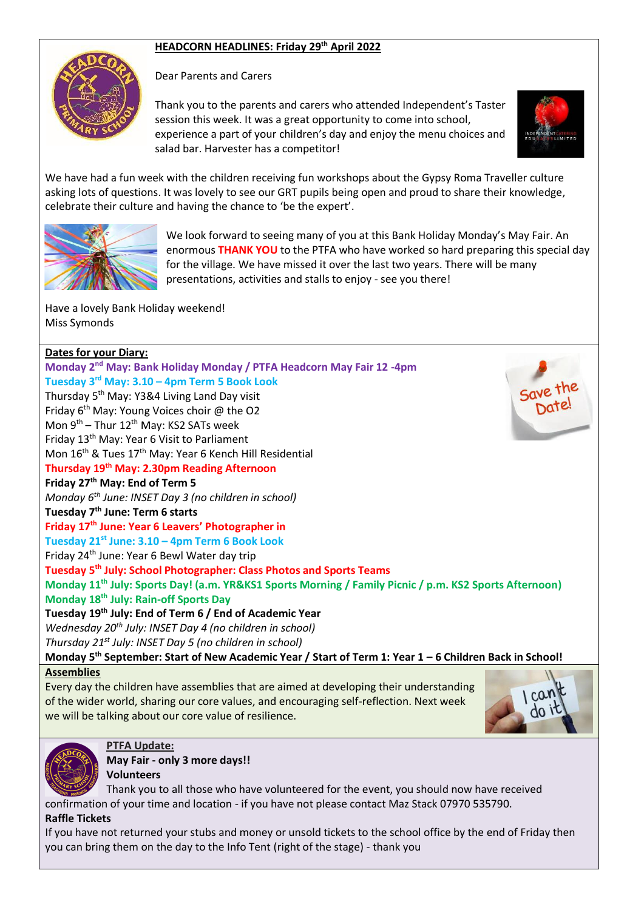### **HEADCORN HEADLINES: Friday 29 th April 2022**



Dear Parents and Carers

Thank you to the parents and carers who attended Independent's Taster session this week. It was a great opportunity to come into school, experience a part of your children's day and enjoy the menu choices and salad bar. Harvester has a competitor!



We have had a fun week with the children receiving fun workshops about the Gypsy Roma Traveller culture asking lots of questions. It was lovely to see our GRT pupils being open and proud to share their knowledge, celebrate their culture and having the chance to 'be the expert'.



We look forward to seeing many of you at this Bank Holiday Monday's May Fair. An enormous **THANK YOU** to the PTFA who have worked so hard preparing this special day for the village. We have missed it over the last two years. There will be many presentations, activities and stalls to enjoy - see you there!

Have a lovely Bank Holiday weekend! Miss Symonds

## **Dates for your Diary: Monday 2 nd May: Bank Holiday Monday / PTFA Headcorn May Fair 12 -4pm Tuesday 3 rd May: 3.10 – 4pm Term 5 Book Look** Thursday 5th May: Y3&4 Living Land Day visit Friday 6<sup>th</sup> May: Young Voices choir @ the O2 Mon 9<sup>th</sup> – Thur 12<sup>th</sup> May: KS2 SATs week Friday 13th May: Year 6 Visit to Parliament Mon 16<sup>th</sup> & Tues 17<sup>th</sup> May: Year 6 Kench Hill Residential **Thursday 19th May: 2.30pm Reading Afternoon Friday 27th May: End of Term 5** *Monday 6th June: INSET Day 3 (no children in school)* **Tuesday 7th June: Term 6 starts Friday 17th June: Year 6 Leavers' Photographer in Tuesday 21st June: 3.10 – 4pm Term 6 Book Look** Friday 24th June: Year 6 Bewl Water day trip **Tuesday 5th July: School Photographer: Class Photos and Sports Teams Monday 11th July: Sports Day! (a.m. YR&KS1 Sports Morning / Family Picnic / p.m. KS2 Sports Afternoon) Monday 18th July: Rain-off Sports Day Tuesday 19th July: End of Term 6 / End of Academic Year** *Wednesday 20th July: INSET Day 4 (no children in school) Thursday 21st July: INSET Day 5 (no children in school)* **Monday 5th September: Start of New Academic Year / Start of Term 1: Year 1 – 6 Children Back in School!**

**Assemblies**

Every day the children have assemblies that are aimed at developing their understanding of the wider world, sharing our core values, and encouraging self-reflection. Next week we will be talking about our core value of resilience.





# **PTFA Update:**

**May Fair - only 3 more days!! Volunteers**

Thank you to all those who have volunteered for the event, you should now have received confirmation of your time and location - if you have not please contact Maz Stack 07970 535790.

### **Raffle Tickets**

If you have not returned your stubs and money or unsold tickets to the school office by the end of Friday then you can bring them on the day to the Info Tent (right of the stage) - thank you